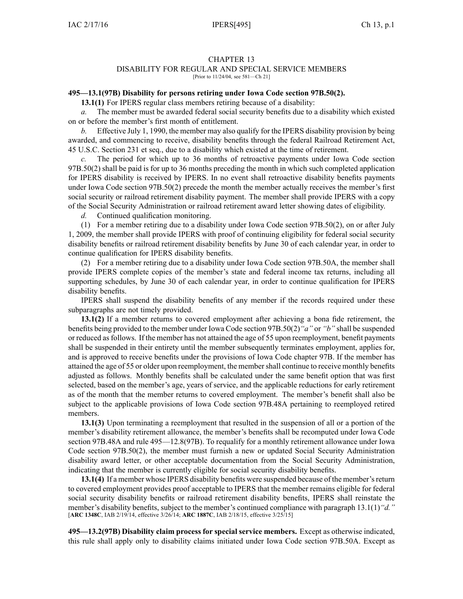## CHAPTER 13

## DISABILITY FOR REGULAR AND SPECIAL SERVICE MEMBERS

[Prior to 11/24/04, see 581—Ch 21]

## **495—13.1(97B) Disability for persons retiring under Iowa Code section [97B.50\(2\)](https://www.legis.iowa.gov/docs/ico/section/97B.50.pdf).**

**13.1(1)** For IPERS regular class members retiring because of <sup>a</sup> disability:

*a.* The member must be awarded federal social security benefits due to <sup>a</sup> disability which existed on or before the member's first month of entitlement.

*b.* Effective July 1, 1990, the member may also qualify for the IPERS disability provision by being awarded, and commencing to receive, disability benefits through the federal Railroad Retirement Act, 45 U.S.C. Section 231 et seq., due to <sup>a</sup> disability which existed at the time of retirement.

*c.* The period for which up to 36 months of retroactive payments under Iowa Code section [97B.50\(2\)](https://www.legis.iowa.gov/docs/ico/section/97B.50.pdf) shall be paid is for up to 36 months preceding the month in which such completed application for IPERS disability is received by IPERS. In no event shall retroactive disability benefits payments under Iowa Code section [97B.50\(2\)](https://www.legis.iowa.gov/docs/ico/section/97B.50.pdf) precede the month the member actually receives the member's first social security or railroad retirement disability payment. The member shall provide IPERS with <sup>a</sup> copy of the Social Security Administration or railroad retirement award letter showing dates of eligibility.

*d.* Continued qualification monitoring.

(1) For <sup>a</sup> member retiring due to <sup>a</sup> disability under Iowa Code section [97B.50\(2\)](https://www.legis.iowa.gov/docs/ico/section/97B.50.pdf), on or after July 1, 2009, the member shall provide IPERS with proof of continuing eligibility for federal social security disability benefits or railroad retirement disability benefits by June 30 of each calendar year, in order to continue qualification for IPERS disability benefits.

(2) For <sup>a</sup> member retiring due to <sup>a</sup> disability under Iowa Code section [97B.50A](https://www.legis.iowa.gov/docs/ico/section/97B.50A.pdf), the member shall provide IPERS complete copies of the member's state and federal income tax returns, including all supporting schedules, by June 30 of each calendar year, in order to continue qualification for IPERS disability benefits.

IPERS shall suspend the disability benefits of any member if the records required under these subparagraphs are not timely provided.

**13.1(2)** If <sup>a</sup> member returns to covered employment after achieving <sup>a</sup> bona fide retirement, the benefits being provided to the member under Iowa Code section [97B.50\(2\)](https://www.legis.iowa.gov/docs/ico/section/97B.50.pdf)*"a"* or *"b"* shall be suspended or reduced asfollows. If the member has not attained the age of 55 upon reemployment, benefit payments shall be suspended in their entirety until the member subsequently terminates employment, applies for, and is approved to receive benefits under the provisions of Iowa Code chapter [97B](https://www.legis.iowa.gov/docs/ico/chapter/97B.pdf). If the member has attained the age of 55 or older upon reemployment, the membershall continue to receive monthly benefits adjusted as follows. Monthly benefits shall be calculated under the same benefit option that was first selected, based on the member's age, years of service, and the applicable reductions for early retirement as of the month that the member returns to covered employment. The member's benefit shall also be subject to the applicable provisions of Iowa Code section [97B.48A](https://www.legis.iowa.gov/docs/ico/section/97B.48A.pdf) pertaining to reemployed retired members.

**13.1(3)** Upon terminating <sup>a</sup> reemployment that resulted in the suspension of all or <sup>a</sup> portion of the member's disability retirement allowance, the member's benefits shall be recomputed under Iowa Code section [97B.48A](https://www.legis.iowa.gov/docs/ico/section/97B.48A.pdf) and rule 495—12.8(97B). To requalify for <sup>a</sup> monthly retirement allowance under Iowa Code section [97B.50\(2\)](https://www.legis.iowa.gov/docs/ico/section/97B.50.pdf), the member must furnish <sup>a</sup> new or updated Social Security Administration disability award letter, or other acceptable documentation from the Social Security Administration, indicating that the member is currently eligible for social security disability benefits.

**13.1(4)** If a member whose IPERS disability benefits were suspended because of the member's return to covered employment provides proof acceptable to IPERS that the member remains eligible for federal social security disability benefits or railroad retirement disability benefits, IPERS shall reinstate the member's disability benefits, subject to the member's continued compliance with paragraph 13.1(1)*"d."* [**ARC 1348C**, IAB 2/19/14, effective 3/26/14; **ARC 1887C**, IAB 2/18/15, effective 3/25/15]

**495—13.2(97B) Disability claim process for special service members.** Except as otherwise indicated, this rule shall apply only to disability claims initiated under Iowa Code section [97B.50A](https://www.legis.iowa.gov/docs/ico/section/97B.50A.pdf). Except as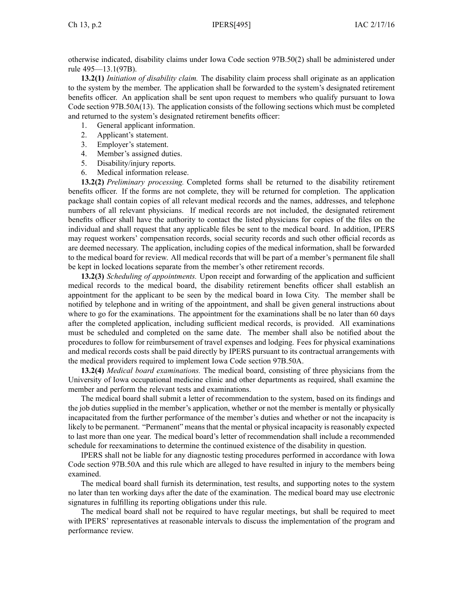otherwise indicated, disability claims under Iowa Code section [97B.50\(2\)](https://www.legis.iowa.gov/docs/ico/section/97B.50.pdf) shall be administered under rule 495—13.1(97B).

**13.2(1)** *Initiation of disability claim.* The disability claim process shall originate as an application to the system by the member. The application shall be forwarded to the system's designated retirement benefits officer. An application shall be sent upon reques<sup>t</sup> to members who qualify pursuan<sup>t</sup> to Iowa Code section [97B.50A\(13\)](https://www.legis.iowa.gov/docs/ico/section/97B.50A.pdf). The application consists of the following sections which must be completed and returned to the system's designated retirement benefits officer:

- 1. General applicant information.
- 2. Applicant's statement.
- 3. Employer's statement.
- 4. Member's assigned duties.
- 5. Disability/injury reports.
- 6. Medical information release.

**13.2(2)** *Preliminary processing.* Completed forms shall be returned to the disability retirement benefits officer. If the forms are not complete, they will be returned for completion. The application package shall contain copies of all relevant medical records and the names, addresses, and telephone numbers of all relevant physicians. If medical records are not included, the designated retirement benefits officer shall have the authority to contact the listed physicians for copies of the files on the individual and shall reques<sup>t</sup> that any applicable files be sent to the medical board. In addition, IPERS may reques<sup>t</sup> workers' compensation records, social security records and such other official records as are deemed necessary. The application, including copies of the medical information, shall be forwarded to the medical board for review. All medical records that will be par<sup>t</sup> of <sup>a</sup> member's permanen<sup>t</sup> file shall be kept in locked locations separate from the member's other retirement records.

**13.2(3)** *Scheduling of appointments.* Upon receipt and forwarding of the application and sufficient medical records to the medical board, the disability retirement benefits officer shall establish an appointment for the applicant to be seen by the medical board in Iowa City. The member shall be notified by telephone and in writing of the appointment, and shall be given general instructions about where to go for the examinations. The appointment for the examinations shall be no later than 60 days after the completed application, including sufficient medical records, is provided. All examinations must be scheduled and completed on the same date. The member shall also be notified about the procedures to follow for reimbursement of travel expenses and lodging. Fees for physical examinations and medical records costs shall be paid directly by IPERS pursuan<sup>t</sup> to its contractual arrangements with the medical providers required to implement Iowa Code section [97B.50A](https://www.legis.iowa.gov/docs/ico/section/97B.50A.pdf).

**13.2(4)** *Medical board examinations.* The medical board, consisting of three physicians from the University of Iowa occupational medicine clinic and other departments as required, shall examine the member and perform the relevant tests and examinations.

The medical board shall submit <sup>a</sup> letter of recommendation to the system, based on its findings and the job duties supplied in the member's application, whether or not the member is mentally or physically incapacitated from the further performance of the member's duties and whether or not the incapacity is likely to be permanent. "Permanent" meansthat the mental or physical incapacity isreasonably expected to last more than one year. The medical board's letter of recommendation shall include <sup>a</sup> recommended schedule for reexaminations to determine the continued existence of the disability in question.

IPERS shall not be liable for any diagnostic testing procedures performed in accordance with Iowa Code section [97B.50A](https://www.legis.iowa.gov/docs/ico/section/97B.50A.pdf) and this rule which are alleged to have resulted in injury to the members being examined.

The medical board shall furnish its determination, test results, and supporting notes to the system no later than ten working days after the date of the examination. The medical board may use electronic signatures in fulfilling its reporting obligations under this rule.

The medical board shall not be required to have regular meetings, but shall be required to meet with IPERS' representatives at reasonable intervals to discuss the implementation of the program and performance review.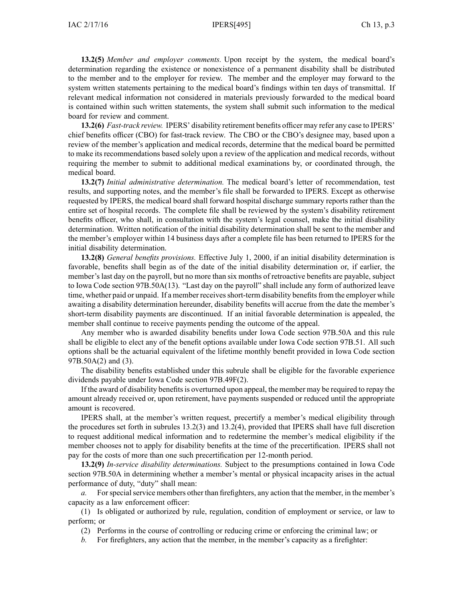**13.2(5)** *Member and employer comments.* Upon receipt by the system, the medical board's determination regarding the existence or nonexistence of <sup>a</sup> permanen<sup>t</sup> disability shall be distributed to the member and to the employer for review. The member and the employer may forward to the system written statements pertaining to the medical board's findings within ten days of transmittal. If relevant medical information not considered in materials previously forwarded to the medical board is contained within such written statements, the system shall submit such information to the medical board for review and comment.

**13.2(6)** *Fast-track review.* IPERS' disability retirement benefits officer may refer any case to IPERS' chief benefits officer (CBO) for fast-track review. The CBO or the CBO's designee may, based upon <sup>a</sup> review of the member's application and medical records, determine that the medical board be permitted to make its recommendations based solely upon <sup>a</sup> review of the application and medical records, without requiring the member to submit to additional medical examinations by, or coordinated through, the medical board.

**13.2(7)** *Initial administrative determination.* The medical board's letter of recommendation, test results, and supporting notes, and the member's file shall be forwarded to IPERS. Except as otherwise requested by IPERS, the medical board shall forward hospital discharge summary reports rather than the entire set of hospital records. The complete file shall be reviewed by the system's disability retirement benefits officer, who shall, in consultation with the system's legal counsel, make the initial disability determination. Written notification of the initial disability determination shall be sent to the member and the member's employer within 14 business days after <sup>a</sup> complete file has been returned to IPERS for the initial disability determination.

**13.2(8)** *General benefits provisions.* Effective July 1, 2000, if an initial disability determination is favorable, benefits shall begin as of the date of the initial disability determination or, if earlier, the member's last day on the payroll, but no more than six months of retroactive benefits are payable, subject to Iowa Code section [97B.50A\(13\)](https://www.legis.iowa.gov/docs/ico/section/97B.50A.pdf). "Last day on the payroll" shall include any form of authorized leave time, whether paid or unpaid. If a member receives short-term disability benefits from the employer while awaiting <sup>a</sup> disability determination hereunder, disability benefits will accrue from the date the member's short-term disability payments are discontinued. If an initial favorable determination is appealed, the member shall continue to receive payments pending the outcome of the appeal.

Any member who is awarded disability benefits under Iowa Code section [97B.50A](https://www.legis.iowa.gov/docs/ico/section/97B.50A.pdf) and this rule shall be eligible to elect any of the benefit options available under Iowa Code section [97B.51](https://www.legis.iowa.gov/docs/ico/section/97B.51.pdf). All such options shall be the actuarial equivalent of the lifetime monthly benefit provided in Iowa Code section [97B.50A\(2\)](https://www.legis.iowa.gov/docs/ico/section/97B.50A.pdf) and (3).

The disability benefits established under this subrule shall be eligible for the favorable experience dividends payable under Iowa Code section [97B.49F\(2\)](https://www.legis.iowa.gov/docs/ico/section/97B.49F.pdf).

If the award of disability benefitsis overturned upon appeal, the member may be required to repay the amount already received or, upon retirement, have payments suspended or reduced until the appropriate amount is recovered.

IPERS shall, at the member's written request, precertify <sup>a</sup> member's medical eligibility through the procedures set forth in subrules 13.2(3) and 13.2(4), provided that IPERS shall have full discretion to reques<sup>t</sup> additional medical information and to redetermine the member's medical eligibility if the member chooses not to apply for disability benefits at the time of the precertification. IPERS shall not pay for the costs of more than one such precertification per 12-month period.

**13.2(9)** *In-service disability determinations.* Subject to the presumptions contained in Iowa Code section [97B.50A](https://www.legis.iowa.gov/docs/ico/section/97B.50A.pdf) in determining whether <sup>a</sup> member's mental or physical incapacity arises in the actual performance of duty, "duty" shall mean:

For special service members other than firefighters, any action that the member, in the member's capacity as <sup>a</sup> law enforcement officer:

(1) Is obligated or authorized by rule, regulation, condition of employment or service, or law to perform; or

(2) Performs in the course of controlling or reducing crime or enforcing the criminal law; or

*b.* For firefighters, any action that the member, in the member's capacity as <sup>a</sup> firefighter: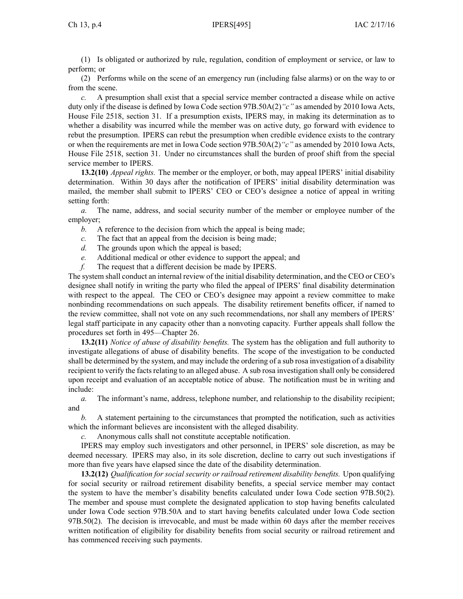(1) Is obligated or authorized by rule, regulation, condition of employment or service, or law to perform; or

(2) Performs while on the scene of an emergency run (including false alarms) or on the way to or from the scene.

*c.* A presumption shall exist that <sup>a</sup> special service member contracted <sup>a</sup> disease while on active duty only if the disease is defined by Iowa Code section [97B.50A\(2\)](https://www.legis.iowa.gov/docs/ico/section/97B.50A.pdf)*"c"* as amended by 2010 Iowa Acts, House File 2518, section 31. If <sup>a</sup> presumption exists, IPERS may, in making its determination as to whether <sup>a</sup> disability was incurred while the member was on active duty, go forward with evidence to rebut the presumption. IPERS can rebut the presumption when credible evidence exists to the contrary or when the requirements are met in Iowa Code section [97B.50A\(2\)](https://www.legis.iowa.gov/docs/ico/section/97B.50A.pdf)*"c"* as amended by 2010 Iowa Acts, House File 2518, section 31. Under no circumstances shall the burden of proof shift from the special service member to IPERS.

**13.2(10)** *Appeal rights.* The member or the employer, or both, may appeal IPERS' initial disability determination. Within 30 days after the notification of IPERS' initial disability determination was mailed, the member shall submit to IPERS' CEO or CEO's designee <sup>a</sup> notice of appeal in writing setting forth:

*a.* The name, address, and social security number of the member or employee number of the employer;

- *b.* A reference to the decision from which the appeal is being made;
- *c.* The fact that an appeal from the decision is being made;
- *d.* The grounds upon which the appeal is based;
- *e.* Additional medical or other evidence to suppor<sup>t</sup> the appeal; and
- *f.* The reques<sup>t</sup> that <sup>a</sup> different decision be made by IPERS.

The system shall conduct an internal review of the initial disability determination, and the CEO or CEO's designee shall notify in writing the party who filed the appeal of IPERS' final disability determination with respec<sup>t</sup> to the appeal. The CEO or CEO's designee may appoint <sup>a</sup> review committee to make nonbinding recommendations on such appeals. The disability retirement benefits officer, if named to the review committee, shall not vote on any such recommendations, nor shall any members of IPERS' legal staff participate in any capacity other than <sup>a</sup> nonvoting capacity. Further appeals shall follow the procedures set forth in 495—Chapter 26.

**13.2(11)** *Notice of abuse of disability benefits.* The system has the obligation and full authority to investigate allegations of abuse of disability benefits. The scope of the investigation to be conducted shall be determined by the system, and may include the ordering of <sup>a</sup> sub rosa investigation of <sup>a</sup> disability recipient to verify the facts relating to an alleged abuse. A sub rosa investigation shall only be considered upon receipt and evaluation of an acceptable notice of abuse. The notification must be in writing and include:

*a.* The informant's name, address, telephone number, and relationship to the disability recipient; and

*b.* A statement pertaining to the circumstances that prompted the notification, such as activities which the informant believes are inconsistent with the alleged disability.

*c.* Anonymous calls shall not constitute acceptable notification.

IPERS may employ such investigators and other personnel, in IPERS' sole discretion, as may be deemed necessary. IPERS may also, in its sole discretion, decline to carry out such investigations if more than five years have elapsed since the date of the disability determination.

**13.2(12)** *Qualification for social security or railroad retirement disability benefits.* Upon qualifying for social security or railroad retirement disability benefits, <sup>a</sup> special service member may contact the system to have the member's disability benefits calculated under Iowa Code section [97B.50\(2\)](https://www.legis.iowa.gov/docs/ico/section/97B.50.pdf). The member and spouse must complete the designated application to stop having benefits calculated under Iowa Code section [97B.50A](https://www.legis.iowa.gov/docs/ico/section/97B.50A.pdf) and to start having benefits calculated under Iowa Code section [97B.50\(2\)](https://www.legis.iowa.gov/docs/ico/section/97B.50.pdf). The decision is irrevocable, and must be made within 60 days after the member receives written notification of eligibility for disability benefits from social security or railroad retirement and has commenced receiving such payments.